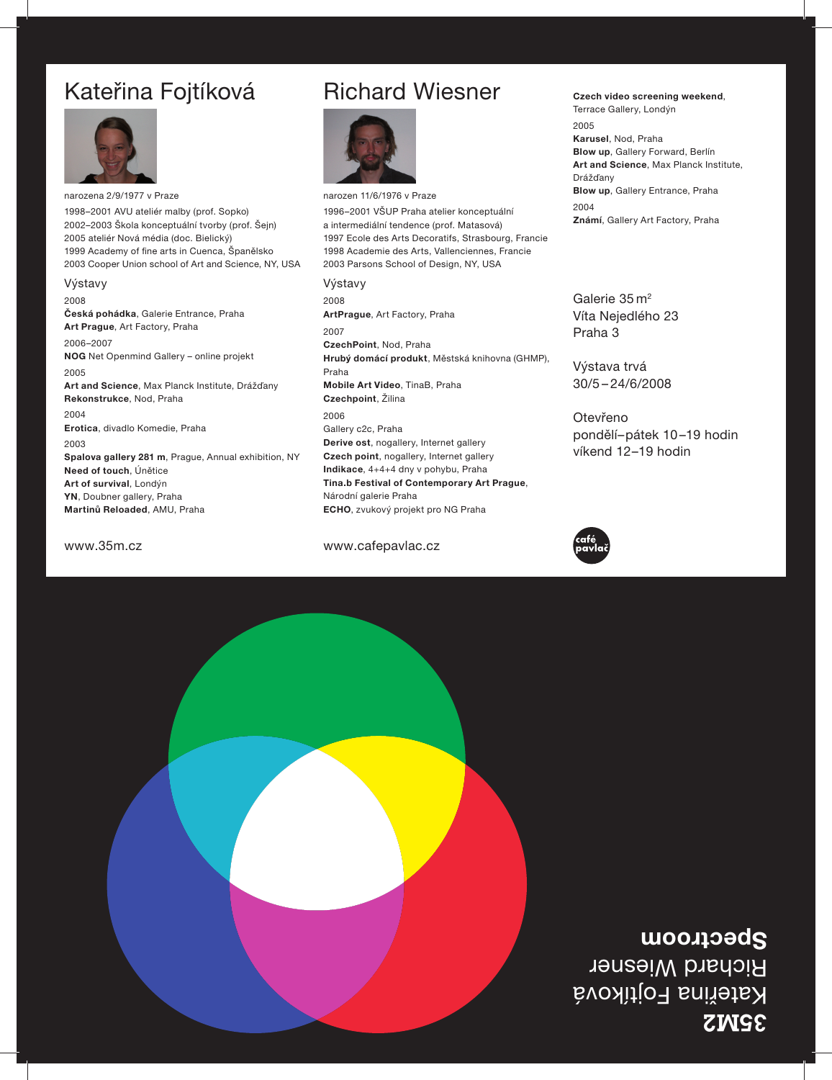## 3**2M2S** Kateřina Fojtíková Richard Wiesner **Spectroom**



www.35m.cz www.cafepavlac.cz



Otevřeno pondělí–pátek 10 –19 hodin víkend 12–19 hodin

Výstava trvá 30/5 – 24/6/2008

Galerie  $35 \, \text{m}^2$ Víta Nejedlého 23 Praha 3

**Karusel**, Nod, Praha **Blow up**, Gallery Forward, Berlín **Art and Science**, Max Planck Institute, Drážďany **Blow up**, Gallery Entrance, Praha 2004 **Známí**, Gallery Art Factory, Praha

**Czech video screening weekend**,

Terrace Gallery, Londýn

2005

## Kateřina Fojtíková



narozena 2/9/1977 v Praze 1998–2001 AVU ateliér malby (prof. Sopko) 2002–2003 Škola konceptuální tvorby (prof. Šejn) 2005 ateliér Nová média (doc. Bielický) 1999 Academy of fine arts in Cuenca, Španělsko 2003 Cooper Union school of Art and Science, NY, USA

Výstavy 2008 **Česká pohádka**, Galerie Entrance, Praha **Art Prague**, Art Factory, Praha 2006–2007 **NOG** Net Openmind Gallery – online projekt 2005 **Art and Science**, Max Planck Institute, Drážďany **Rekonstrukce**, Nod, Praha 2004 **Erotica**, divadlo Komedie, Praha 2003 **Spalova gallery 281 m**, Prague, Annual exhibition, NY **Need of touch**, Únětice **Art of survival**, Londýn **YN**, Doubner gallery, Praha **Martinů Reloaded**, AMU, Praha

## narozen 11/6/1976 v Praze 1996–2001 VŠUP Praha atelier konceptuální a intermediální tendence (prof. Matasová) 1997 Ecole des Arts Decoratifs, Strasbourg, Francie 1998 Academie des Arts, Vallenciennes, Francie

2003 Parsons School of Design, NY, USA Výstavy 2008 **ArtPrague**, Art Factory, Praha 2007 **CzechPoint**, Nod, Praha **Hrubý domácí produkt**, Městská knihovna (GHMP), Praha **Mobile Art Video**, TinaB, Praha **Czechpoint**, Žilina 2006 Gallery c2c, Praha **Derive ost**, nogallery, Internet gallery **Czech point**, nogallery, Internet gallery **Indikace**, 4+4+4 dny v pohybu, Praha **Tina.b Festival of Contemporary Art Prague**, Národní galerie Praha **ECHO**, zvukový projekt pro NG Praha

## Richard Wiesner